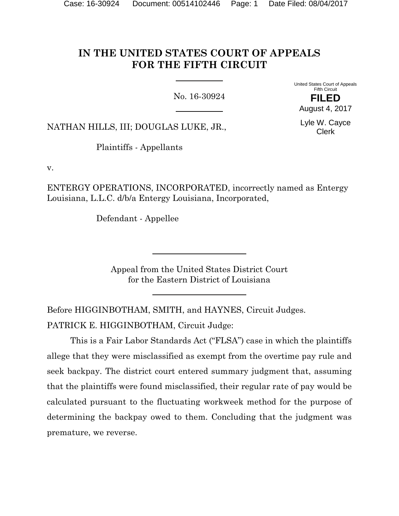# **IN THE UNITED STATES COURT OF APPEALS FOR THE FIFTH CIRCUIT**

No. 16-30924

United States Court of Appeals Fifth Circuit

NATHAN HILLS, III; DOUGLAS LUKE, JR.,

Plaintiffs - Appellants

v.

ENTERGY OPERATIONS, INCORPORATED, incorrectly named as Entergy Louisiana, L.L.C. d/b/a Entergy Louisiana, Incorporated,

Defendant - Appellee

Appeal from the United States District Court for the Eastern District of Louisiana

Before HIGGINBOTHAM, SMITH, and HAYNES, Circuit Judges. PATRICK E. HIGGINBOTHAM, Circuit Judge:

 This is a Fair Labor Standards Act ("FLSA") case in which the plaintiffs allege that they were misclassified as exempt from the overtime pay rule and seek backpay. The district court entered summary judgment that, assuming that the plaintiffs were found misclassified, their regular rate of pay would be calculated pursuant to the fluctuating workweek method for the purpose of determining the backpay owed to them. Concluding that the judgment was premature, we reverse.

**FILED** August 4, 2017

Lyle W. Cayce Clerk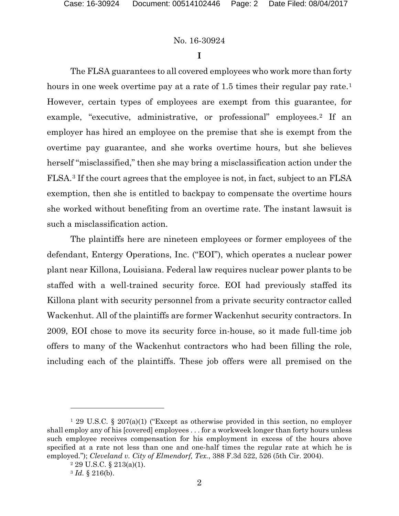### **I**

The FLSA guarantees to all covered employees who work more than forty hours in one week overtime pay at a rate of 1.5 times their regular pay rate.<sup>1</sup> However, certain types of employees are exempt from this guarantee, for example, "executive, administrative, or professional" employees.2 If an employer has hired an employee on the premise that she is exempt from the overtime pay guarantee, and she works overtime hours, but she believes herself "misclassified," then she may bring a misclassification action under the FLSA.3 If the court agrees that the employee is not, in fact, subject to an FLSA exemption, then she is entitled to backpay to compensate the overtime hours she worked without benefiting from an overtime rate. The instant lawsuit is such a misclassification action.

The plaintiffs here are nineteen employees or former employees of the defendant, Entergy Operations, Inc. ("EOI"), which operates a nuclear power plant near Killona, Louisiana. Federal law requires nuclear power plants to be staffed with a well-trained security force. EOI had previously staffed its Killona plant with security personnel from a private security contractor called Wackenhut. All of the plaintiffs are former Wackenhut security contractors. In 2009, EOI chose to move its security force in-house, so it made full-time job offers to many of the Wackenhut contractors who had been filling the role, including each of the plaintiffs. These job offers were all premised on the

<sup>&</sup>lt;sup>1</sup> 29 U.S.C. § 207(a)(1) ("Except as otherwise provided in this section, no employer shall employ any of his [covered] employees . . . for a workweek longer than forty hours unless such employee receives compensation for his employment in excess of the hours above specified at a rate not less than one and one-half times the regular rate at which he is employed."); *Cleveland v. City of Elmendorf, Tex.*, 388 F.3d 522, 526 (5th Cir. 2004).<br><sup>2</sup> 29 U.S.C. § 213(a)(1).

<sup>3</sup> *Id.* § 216(b).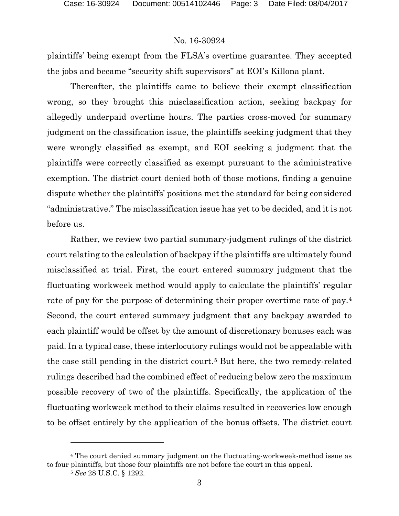plaintiffs' being exempt from the FLSA's overtime guarantee. They accepted the jobs and became "security shift supervisors" at EOI's Killona plant.

 Thereafter, the plaintiffs came to believe their exempt classification wrong, so they brought this misclassification action, seeking backpay for allegedly underpaid overtime hours. The parties cross-moved for summary judgment on the classification issue, the plaintiffs seeking judgment that they were wrongly classified as exempt, and EOI seeking a judgment that the plaintiffs were correctly classified as exempt pursuant to the administrative exemption. The district court denied both of those motions, finding a genuine dispute whether the plaintiffs' positions met the standard for being considered "administrative." The misclassification issue has yet to be decided, and it is not before us.

 Rather, we review two partial summary-judgment rulings of the district court relating to the calculation of backpay if the plaintiffs are ultimately found misclassified at trial. First, the court entered summary judgment that the fluctuating workweek method would apply to calculate the plaintiffs' regular rate of pay for the purpose of determining their proper overtime rate of pay.4 Second, the court entered summary judgment that any backpay awarded to each plaintiff would be offset by the amount of discretionary bonuses each was paid. In a typical case, these interlocutory rulings would not be appealable with the case still pending in the district court.5 But here, the two remedy-related rulings described had the combined effect of reducing below zero the maximum possible recovery of two of the plaintiffs. Specifically, the application of the fluctuating workweek method to their claims resulted in recoveries low enough to be offset entirely by the application of the bonus offsets. The district court

<sup>4</sup> The court denied summary judgment on the fluctuating-workweek-method issue as to four plaintiffs, but those four plaintiffs are not before the court in this appeal.

<sup>5</sup> *See* 28 U.S.C. § 1292.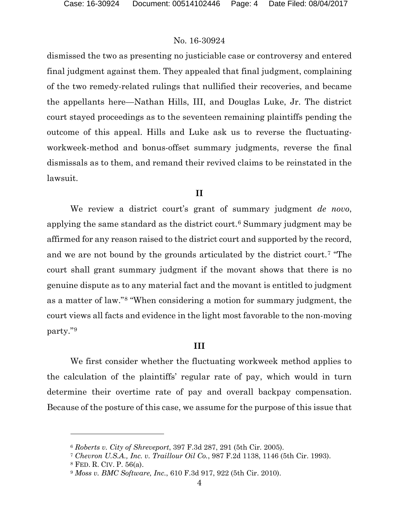dismissed the two as presenting no justiciable case or controversy and entered final judgment against them. They appealed that final judgment, complaining of the two remedy-related rulings that nullified their recoveries, and became the appellants here—Nathan Hills, III, and Douglas Luke, Jr. The district court stayed proceedings as to the seventeen remaining plaintiffs pending the outcome of this appeal. Hills and Luke ask us to reverse the fluctuatingworkweek-method and bonus-offset summary judgments, reverse the final dismissals as to them, and remand their revived claims to be reinstated in the lawsuit.

#### **II**

We review a district court's grant of summary judgment *de novo*, applying the same standard as the district court.6 Summary judgment may be affirmed for any reason raised to the district court and supported by the record, and we are not bound by the grounds articulated by the district court.7 "The court shall grant summary judgment if the movant shows that there is no genuine dispute as to any material fact and the movant is entitled to judgment as a matter of law."8 "When considering a motion for summary judgment, the court views all facts and evidence in the light most favorable to the non-moving party."9

### **III**

We first consider whether the fluctuating workweek method applies to the calculation of the plaintiffs' regular rate of pay, which would in turn determine their overtime rate of pay and overall backpay compensation. Because of the posture of this case, we assume for the purpose of this issue that

<sup>6</sup> *Roberts v. City of Shreveport*, 397 F.3d 287, 291 (5th Cir. 2005).

<sup>7</sup> *Chevron U.S.A., Inc. v. Traillour Oil Co.*, 987 F.2d 1138, 1146 (5th Cir. 1993).

<sup>8</sup> FED. R. CIV. P. 56(a).

<sup>9</sup> *Moss v. BMC Software, Inc.*, 610 F.3d 917, 922 (5th Cir. 2010).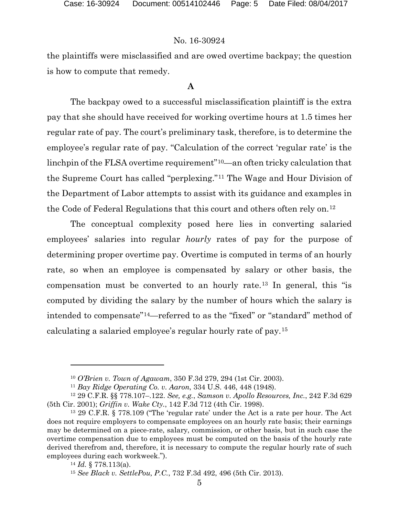the plaintiffs were misclassified and are owed overtime backpay; the question is how to compute that remedy.

### **A**

The backpay owed to a successful misclassification plaintiff is the extra pay that she should have received for working overtime hours at 1.5 times her regular rate of pay. The court's preliminary task, therefore, is to determine the employee's regular rate of pay. "Calculation of the correct 'regular rate' is the linchpin of the FLSA overtime requirement"10—an often tricky calculation that the Supreme Court has called "perplexing."11 The Wage and Hour Division of the Department of Labor attempts to assist with its guidance and examples in the Code of Federal Regulations that this court and others often rely on.12

The conceptual complexity posed here lies in converting salaried employees' salaries into regular *hourly* rates of pay for the purpose of determining proper overtime pay. Overtime is computed in terms of an hourly rate, so when an employee is compensated by salary or other basis, the compensation must be converted to an hourly rate.13 In general, this "is computed by dividing the salary by the number of hours which the salary is intended to compensate"14—referred to as the "fixed" or "standard" method of calculating a salaried employee's regular hourly rate of pay.15

<sup>10</sup> *O'Brien v. Town of Agawam*, 350 F.3d 279, 294 (1st Cir. 2003).

<sup>11</sup> *Bay Ridge Operating Co. v. Aaron*, 334 U.S. 446, 448 (1948).

<sup>12</sup> 29 C.F.R. §§ 778.107–.122. *See, e.g.*, *Samson v. Apollo Resources, Inc.*, 242 F.3d 629 (5th Cir. 2001); *Griffin v. Wake Cty.*, 142 F.3d 712 (4th Cir. 1998).

<sup>13</sup> 29 C.F.R. § 778.109 ("The 'regular rate' under the Act is a rate per hour. The Act does not require employers to compensate employees on an hourly rate basis; their earnings may be determined on a piece-rate, salary, commission, or other basis, but in such case the overtime compensation due to employees must be computed on the basis of the hourly rate derived therefrom and, therefore, it is necessary to compute the regular hourly rate of such employees during each workweek.").

<sup>14</sup> *Id.* § 778.113(a).

<sup>15</sup> *See Black v. SettlePou, P.C.*, 732 F.3d 492, 496 (5th Cir. 2013).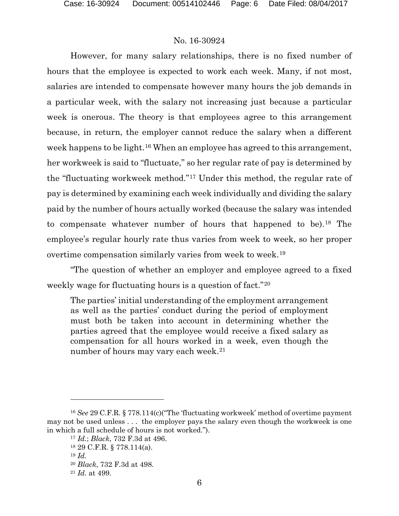However, for many salary relationships, there is no fixed number of hours that the employee is expected to work each week. Many, if not most, salaries are intended to compensate however many hours the job demands in a particular week, with the salary not increasing just because a particular week is onerous. The theory is that employees agree to this arrangement because, in return, the employer cannot reduce the salary when a different week happens to be light.<sup>16</sup> When an employee has agreed to this arrangement, her workweek is said to "fluctuate," so her regular rate of pay is determined by the "fluctuating workweek method."17 Under this method, the regular rate of pay is determined by examining each week individually and dividing the salary paid by the number of hours actually worked (because the salary was intended to compensate whatever number of hours that happened to be).18 The employee's regular hourly rate thus varies from week to week, so her proper overtime compensation similarly varies from week to week.19

"The question of whether an employer and employee agreed to a fixed weekly wage for fluctuating hours is a question of fact."20

The parties' initial understanding of the employment arrangement as well as the parties' conduct during the period of employment must both be taken into account in determining whether the parties agreed that the employee would receive a fixed salary as compensation for all hours worked in a week, even though the number of hours may vary each week.<sup>21</sup>

<sup>16</sup> *See* 29 C.F.R. § 778.114(c)("The 'fluctuating workweek' method of overtime payment may not be used unless . . . the employer pays the salary even though the workweek is one in which a full schedule of hours is not worked.").

<sup>17</sup> *Id.*; *Black*, 732 F.3d at 496.

<sup>18</sup> 29 C.F.R. § 778.114(a).

<sup>19</sup> *Id.*

<sup>20</sup> *Black*, 732 F.3d at 498.

<sup>21</sup> *Id.* at 499.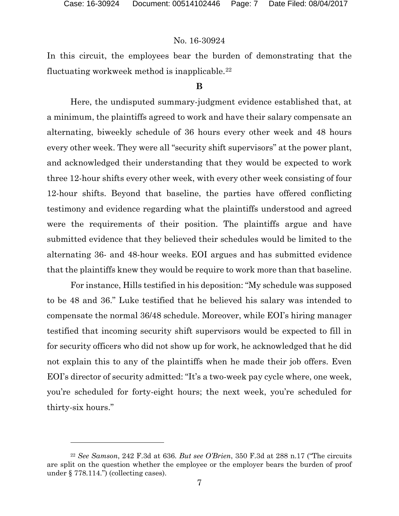$\overline{a}$ 

### No. 16-30924

In this circuit, the employees bear the burden of demonstrating that the fluctuating workweek method is inapplicable.22

### **B**

Here, the undisputed summary-judgment evidence established that, at a minimum, the plaintiffs agreed to work and have their salary compensate an alternating, biweekly schedule of 36 hours every other week and 48 hours every other week. They were all "security shift supervisors" at the power plant, and acknowledged their understanding that they would be expected to work three 12-hour shifts every other week, with every other week consisting of four 12-hour shifts. Beyond that baseline, the parties have offered conflicting testimony and evidence regarding what the plaintiffs understood and agreed were the requirements of their position. The plaintiffs argue and have submitted evidence that they believed their schedules would be limited to the alternating 36- and 48-hour weeks. EOI argues and has submitted evidence that the plaintiffs knew they would be require to work more than that baseline.

For instance, Hills testified in his deposition: "My schedule was supposed to be 48 and 36." Luke testified that he believed his salary was intended to compensate the normal 36/48 schedule. Moreover, while EOI's hiring manager testified that incoming security shift supervisors would be expected to fill in for security officers who did not show up for work, he acknowledged that he did not explain this to any of the plaintiffs when he made their job offers. Even EOI's director of security admitted: "It's a two-week pay cycle where, one week, you're scheduled for forty-eight hours; the next week, you're scheduled for thirty-six hours."

<sup>22</sup> *See Samson*, 242 F.3d at 636. *But see O'Brien*, 350 F.3d at 288 n.17 ("The circuits are split on the question whether the employee or the employer bears the burden of proof under § 778.114.") (collecting cases).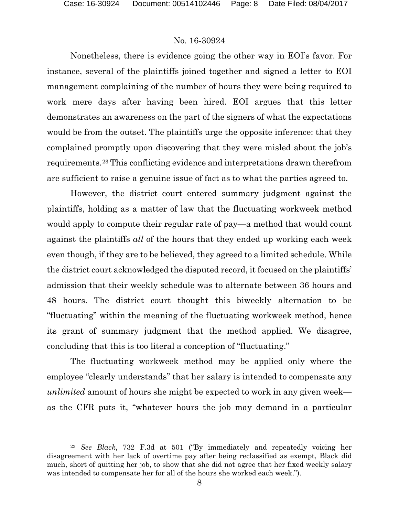$\overline{a}$ 

### No. 16-30924

Nonetheless, there is evidence going the other way in EOI's favor. For instance, several of the plaintiffs joined together and signed a letter to EOI management complaining of the number of hours they were being required to work mere days after having been hired. EOI argues that this letter demonstrates an awareness on the part of the signers of what the expectations would be from the outset. The plaintiffs urge the opposite inference: that they complained promptly upon discovering that they were misled about the job's requirements.23 This conflicting evidence and interpretations drawn therefrom are sufficient to raise a genuine issue of fact as to what the parties agreed to.

However, the district court entered summary judgment against the plaintiffs, holding as a matter of law that the fluctuating workweek method would apply to compute their regular rate of pay—a method that would count against the plaintiffs *all* of the hours that they ended up working each week even though, if they are to be believed, they agreed to a limited schedule. While the district court acknowledged the disputed record, it focused on the plaintiffs' admission that their weekly schedule was to alternate between 36 hours and 48 hours. The district court thought this biweekly alternation to be "fluctuating" within the meaning of the fluctuating workweek method, hence its grant of summary judgment that the method applied. We disagree, concluding that this is too literal a conception of "fluctuating."

 The fluctuating workweek method may be applied only where the employee "clearly understands" that her salary is intended to compensate any *unlimited* amount of hours she might be expected to work in any given week as the CFR puts it, "whatever hours the job may demand in a particular

<sup>23</sup> *See Black*, 732 F.3d at 501 ("By immediately and repeatedly voicing her disagreement with her lack of overtime pay after being reclassified as exempt, Black did much, short of quitting her job, to show that she did not agree that her fixed weekly salary was intended to compensate her for all of the hours she worked each week.").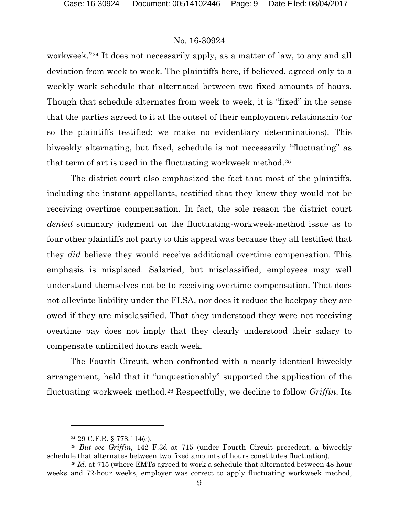workweek."24 It does not necessarily apply, as a matter of law, to any and all deviation from week to week. The plaintiffs here, if believed, agreed only to a weekly work schedule that alternated between two fixed amounts of hours. Though that schedule alternates from week to week, it is "fixed" in the sense that the parties agreed to it at the outset of their employment relationship (or so the plaintiffs testified; we make no evidentiary determinations). This biweekly alternating, but fixed, schedule is not necessarily "fluctuating" as that term of art is used in the fluctuating workweek method.25

The district court also emphasized the fact that most of the plaintiffs, including the instant appellants, testified that they knew they would not be receiving overtime compensation. In fact, the sole reason the district court *denied* summary judgment on the fluctuating-workweek-method issue as to four other plaintiffs not party to this appeal was because they all testified that they *did* believe they would receive additional overtime compensation. This emphasis is misplaced. Salaried, but misclassified, employees may well understand themselves not be to receiving overtime compensation. That does not alleviate liability under the FLSA, nor does it reduce the backpay they are owed if they are misclassified. That they understood they were not receiving overtime pay does not imply that they clearly understood their salary to compensate unlimited hours each week.

The Fourth Circuit, when confronted with a nearly identical biweekly arrangement, held that it "unquestionably" supported the application of the fluctuating workweek method.26 Respectfully, we decline to follow *Griffin*. Its

l

<sup>24</sup> 29 C.F.R. § 778.114(c).

<sup>25</sup> *But see Griffin*, 142 F.3d at 715 (under Fourth Circuit precedent, a biweekly schedule that alternates between two fixed amounts of hours constitutes fluctuation).

<sup>26</sup> *Id.* at 715 (where EMTs agreed to work a schedule that alternated between 48-hour weeks and 72-hour weeks, employer was correct to apply fluctuating workweek method,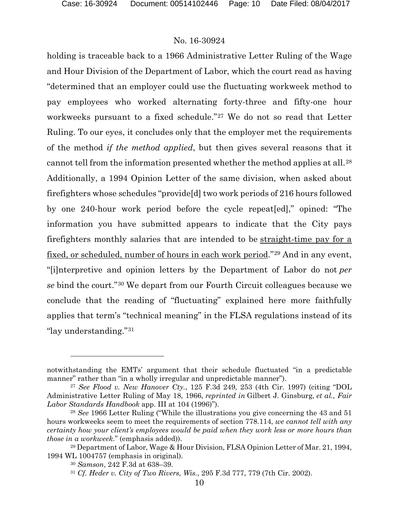holding is traceable back to a 1966 Administrative Letter Ruling of the Wage and Hour Division of the Department of Labor, which the court read as having "determined that an employer could use the fluctuating workweek method to pay employees who worked alternating forty-three and fifty-one hour workweeks pursuant to a fixed schedule."27 We do not so read that Letter Ruling. To our eyes, it concludes only that the employer met the requirements of the method *if the method applied*, but then gives several reasons that it cannot tell from the information presented whether the method applies at all.28 Additionally, a 1994 Opinion Letter of the same division, when asked about firefighters whose schedules "provide[d] two work periods of 216 hours followed by one 240-hour work period before the cycle repeat[ed]," opined: "The information you have submitted appears to indicate that the City pays firefighters monthly salaries that are intended to be straight-time pay for a fixed, or scheduled, number of hours in each work period."29 And in any event, "[i]nterpretive and opinion letters by the Department of Labor do not *per se* bind the court."30 We depart from our Fourth Circuit colleagues because we conclude that the reading of "fluctuating" explained here more faithfully applies that term's "technical meaning" in the FLSA regulations instead of its "lay understanding."31

notwithstanding the EMTs' argument that their schedule fluctuated "in a predictable manner" rather than "in a wholly irregular and unpredictable manner").

<sup>27</sup> *See Flood v. New Hanover Cty.*, 125 F.3d 249, 253 (4th Cir. 1997) (citing "DOL Administrative Letter Ruling of May 18, 1966, *reprinted in* Gilbert J. Ginsburg, *et al., Fair Labor Standards Handbook* app. III at 104 (1996)").

<sup>28</sup> *See* 1966 Letter Ruling ("While the illustrations you give concerning the 43 and 51 hours workweeks seem to meet the requirements of section 778.114, *we cannot tell with any certainty how your client's employees would be paid when they work less or more hours than those in a workweek*." (emphasis added)).

<sup>29</sup> Department of Labor, Wage & Hour Division, FLSA Opinion Letter of Mar. 21, 1994, 1994 WL 1004757 (emphasis in original). 30 *Samson*, 242 F.3d at 638–39.

<sup>31</sup> *Cf. Heder v. City of Two Rivers, Wis.*, 295 F.3d 777, 779 (7th Cir. 2002).